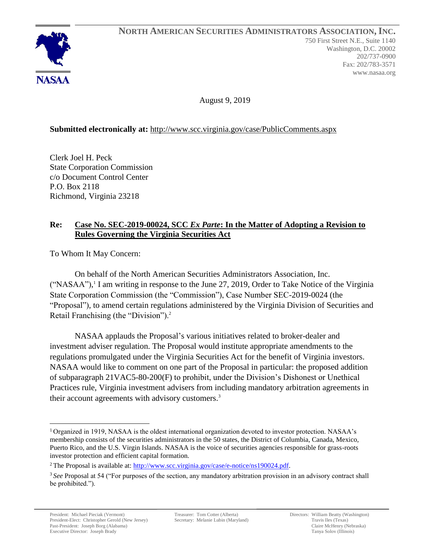August 9, 2019

## **Submitted electronically at:** <http://www.scc.virginia.gov/case/PublicComments.aspx>

Clerk Joel H. Peck State Corporation Commission c/o Document Control Center P.O. Box 2118 Richmond, Virginia 23218

## **Re: Case No. SEC-2019-00024, SCC** *Ex Parte***: In the Matter of Adopting a Revision to Rules Governing the Virginia Securities Act**

To Whom It May Concern:

On behalf of the North American Securities Administrators Association, Inc. ("NASAA"), 1 I am writing in response to the June 27, 2019, Order to Take Notice of the Virginia State Corporation Commission (the "Commission"), Case Number SEC-2019-0024 (the "Proposal"), to amend certain regulations administered by the Virginia Division of Securities and Retail Franchising (the "Division").<sup>2</sup>

NASAA applauds the Proposal's various initiatives related to broker-dealer and investment adviser regulation. The Proposal would institute appropriate amendments to the regulations promulgated under the Virginia Securities Act for the benefit of Virginia investors. NASAA would like to comment on one part of the Proposal in particular: the proposed addition of subparagraph 21VAC5-80-200(F) to prohibit, under the Division's Dishonest or Unethical Practices rule, Virginia investment advisers from including mandatory arbitration agreements in their account agreements with advisory customers.<sup>3</sup>

<sup>1</sup> Organized in 1919, NASAA is the oldest international organization devoted to investor protection. NASAA's membership consists of the securities administrators in the 50 states, the District of Columbia, Canada, Mexico, Puerto Rico, and the U.S. Virgin Islands. NASAA is the voice of securities agencies responsible for grass-roots investor protection and efficient capital formation.

<sup>&</sup>lt;sup>2</sup> The Proposal is available at:  $\frac{http://www.scc.virginia.gov/case/e-notice/ns190024.pdf.}$ 

<sup>3</sup> *See* Proposal at 54 ("For purposes of the section, any mandatory arbitration provision in an advisory contract shall be prohibited.").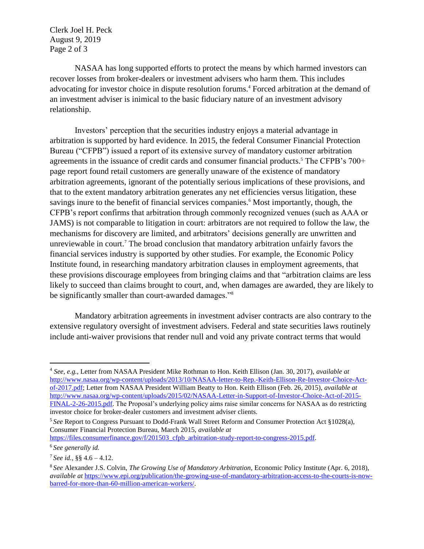Clerk Joel H. Peck August 9, 2019 Page 2 of 3

NASAA has long supported efforts to protect the means by which harmed investors can recover losses from broker-dealers or investment advisers who harm them. This includes advocating for investor choice in dispute resolution forums.<sup>4</sup> Forced arbitration at the demand of an investment adviser is inimical to the basic fiduciary nature of an investment advisory relationship.

Investors' perception that the securities industry enjoys a material advantage in arbitration is supported by hard evidence. In 2015, the federal Consumer Financial Protection Bureau ("CFPB") issued a report of its extensive survey of mandatory customer arbitration agreements in the issuance of credit cards and consumer financial products.<sup>5</sup> The CFPB's 700+ page report found retail customers are generally unaware of the existence of mandatory arbitration agreements, ignorant of the potentially serious implications of these provisions, and that to the extent mandatory arbitration generates any net efficiencies versus litigation, these savings inure to the benefit of financial services companies.<sup>6</sup> Most importantly, though, the CFPB's report confirms that arbitration through commonly recognized venues (such as AAA or JAMS) is not comparable to litigation in court: arbitrators are not required to follow the law, the mechanisms for discovery are limited, and arbitrators' decisions generally are unwritten and unreviewable in court.<sup>7</sup> The broad conclusion that mandatory arbitration unfairly favors the financial services industry is supported by other studies. For example, the Economic Policy Institute found, in researching mandatory arbitration clauses in employment agreements, that these provisions discourage employees from bringing claims and that "arbitration claims are less likely to succeed than claims brought to court, and, when damages are awarded, they are likely to be significantly smaller than court-awarded damages."<sup>8</sup>

Mandatory arbitration agreements in investment adviser contracts are also contrary to the extensive regulatory oversight of investment advisers. Federal and state securities laws routinely include anti-waiver provisions that render null and void any private contract terms that would

<sup>4</sup> *See*, *e.g.*, Letter from NASAA President Mike Rothman to Hon. Keith Ellison (Jan. 30, 2017), *available at*  [http://www.nasaa.org/wp-content/uploads/2013/10/NASAA-letter-to-Rep.-Keith-Ellison-Re-Investor-Choice-Act](http://www.nasaa.org/wp-content/uploads/2013/10/NASAA-letter-to-Rep.-Keith-Ellison-Re-Investor-Choice-Act-of-2017.pdf)[of-2017.pdf;](http://www.nasaa.org/wp-content/uploads/2013/10/NASAA-letter-to-Rep.-Keith-Ellison-Re-Investor-Choice-Act-of-2017.pdf) Letter from NASAA President William Beatty to Hon. Keith Ellison (Feb. 26, 2015), *available at* [http://www.nasaa.org/wp-content/uploads/2015/02/NASAA-Letter-in-Support-of-Investor-Choice-Act-of-2015-](http://www.nasaa.org/wp-content/uploads/2015/02/NASAA-Letter-in-Support-of-Investor-Choice-Act-of-2015-FINAL-2-26-2015.pdf) [FINAL-2-26-2015.pdf.](http://www.nasaa.org/wp-content/uploads/2015/02/NASAA-Letter-in-Support-of-Investor-Choice-Act-of-2015-FINAL-2-26-2015.pdf) The Proposal's underlying policy aims raise similar concerns for NASAA as do restricting investor choice for broker-dealer customers and investment adviser clients.

<sup>5</sup> *See* Report to Congress Pursuant to Dodd-Frank Wall Street Reform and Consumer Protection Act §1028(a), Consumer Financial Protection Bureau, March 2015, *available at* 

[https://files.consumerfinance.gov/f/201503\\_cfpb\\_arbitration-study-report-to-congress-2015.pdf.](https://files.consumerfinance.gov/f/201503_cfpb_arbitration-study-report-to-congress-2015.pdf)

<sup>6</sup> *See generally id.* 

 $7$  See id., §§ 4.6 – 4.12.

<sup>8</sup> *See* Alexander J.S. Colvin, *The Growing Use of Mandatory Arbitration*, Economic Policy Institute (Apr. 6, 2018), *available at* [https://www.epi.org/publication/the-growing-use-of-mandatory-arbitration-access-to-the-courts-is-now](https://www.epi.org/publication/the-growing-use-of-mandatory-arbitration-access-to-the-courts-is-now-barred-for-more-than-60-million-american-workers/)[barred-for-more-than-60-million-american-workers/.](https://www.epi.org/publication/the-growing-use-of-mandatory-arbitration-access-to-the-courts-is-now-barred-for-more-than-60-million-american-workers/)